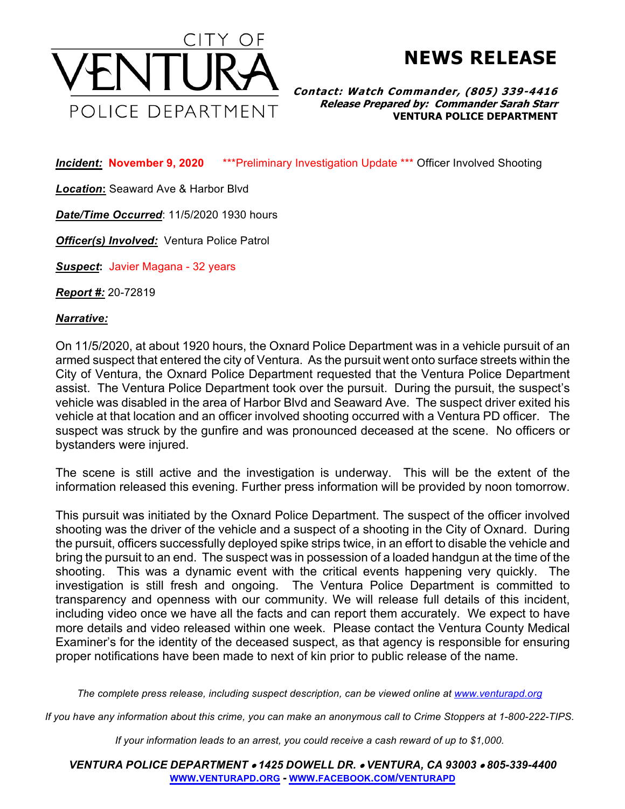

**NEWS RELEASE**

**Contact: Watch Commander, (805) 339-4416 Release Prepared by: Commander Sarah Starr VENTURA POLICE DEPARTMENT**

*Incident:* **November 9, 2020** \*\*\*Preliminary Investigation Update \*\*\* Officer Involved Shooting

*Location***:** Seaward Ave & Harbor Blvd

*Date/Time Occurred*: 11/5/2020 1930 hours

*Officer(s) Involved:* Ventura Police Patrol

*Suspect***:** Javier Magana - 32 years

*Report #:* 20-72819

*Narrative:* 

On 11/5/2020, at about 1920 hours, the Oxnard Police Department was in a vehicle pursuit of an armed suspect that entered the city of Ventura. As the pursuit went onto surface streets within the City of Ventura, the Oxnard Police Department requested that the Ventura Police Department assist. The Ventura Police Department took over the pursuit. During the pursuit, the suspect's vehicle was disabled in the area of Harbor Blvd and Seaward Ave. The suspect driver exited his vehicle at that location and an officer involved shooting occurred with a Ventura PD officer. The suspect was struck by the gunfire and was pronounced deceased at the scene. No officers or bystanders were injured.

The scene is still active and the investigation is underway. This will be the extent of the information released this evening. Further press information will be provided by noon tomorrow.

This pursuit was initiated by the Oxnard Police Department. The suspect of the officer involved shooting was the driver of the vehicle and a suspect of a shooting in the City of Oxnard. During the pursuit, officers successfully deployed spike strips twice, in an effort to disable the vehicle and bring the pursuit to an end. The suspect was in possession of a loaded handgun at the time of the shooting. This was a dynamic event with the critical events happening very quickly. The investigation is still fresh and ongoing. The Ventura Police Department is committed to transparency and openness with our community. We will release full details of this incident, including video once we have all the facts and can report them accurately. We expect to have more details and video released within one week. Please contact the Ventura County Medical Examiner's for the identity of the deceased suspect, as that agency is responsible for ensuring proper notifications have been made to next of kin prior to public release of the name.

*The complete press release, including suspect description, can be viewed online at www.venturapd.org*

*If you have any information about this crime, you can make an anonymous call to Crime Stoppers at 1-800-222-TIPS.*

*If your information leads to an arrest, you could receive a cash reward of up to \$1,000.*

*VENTURA POLICE DEPARTMENT* • *1425 DOWELL DR.* • *VENTURA, CA 93003* • *805-339-4400* **WWW.VENTURAPD.ORG** *-* **WWW.FACEBOOK.COM/VENTURAPD**